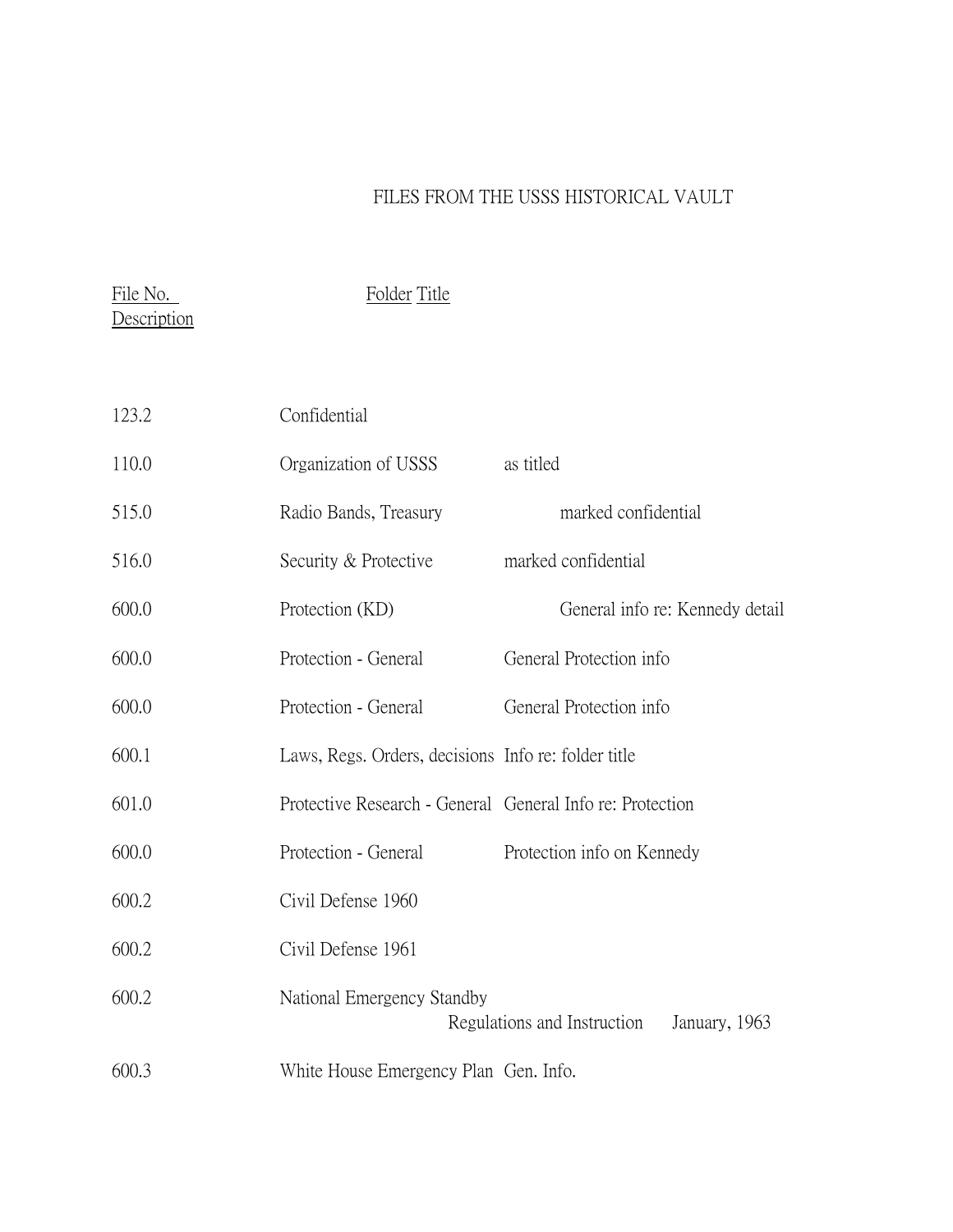## FILES FROM THE USSS HISTORICAL VAULT

File No. 500 Folder Title **Description** 

| 123.2 | Confidential                                              |           |                             |                                 |
|-------|-----------------------------------------------------------|-----------|-----------------------------|---------------------------------|
| 110.0 | Organization of USSS                                      | as titled |                             |                                 |
| 515.0 | Radio Bands, Treasury                                     |           | marked confidential         |                                 |
| 516.0 | Security & Protective                                     |           | marked confidential         |                                 |
| 600.0 | Protection (KD)                                           |           |                             | General info re: Kennedy detail |
| 600.0 | Protection - General                                      |           | General Protection info     |                                 |
| 600.0 | Protection - General                                      |           | General Protection info     |                                 |
| 600.1 | Laws, Regs. Orders, decisions Info re: folder title       |           |                             |                                 |
| 601.0 | Protective Research - General General Info re: Protection |           |                             |                                 |
| 600.0 | Protection - General                                      |           | Protection info on Kennedy  |                                 |
| 600.2 | Civil Defense 1960                                        |           |                             |                                 |
| 600.2 | Civil Defense 1961                                        |           |                             |                                 |
| 600.2 | National Emergency Standby                                |           | Regulations and Instruction | January, 1963                   |
| 600.3 | White House Emergency Plan Gen. Info.                     |           |                             |                                 |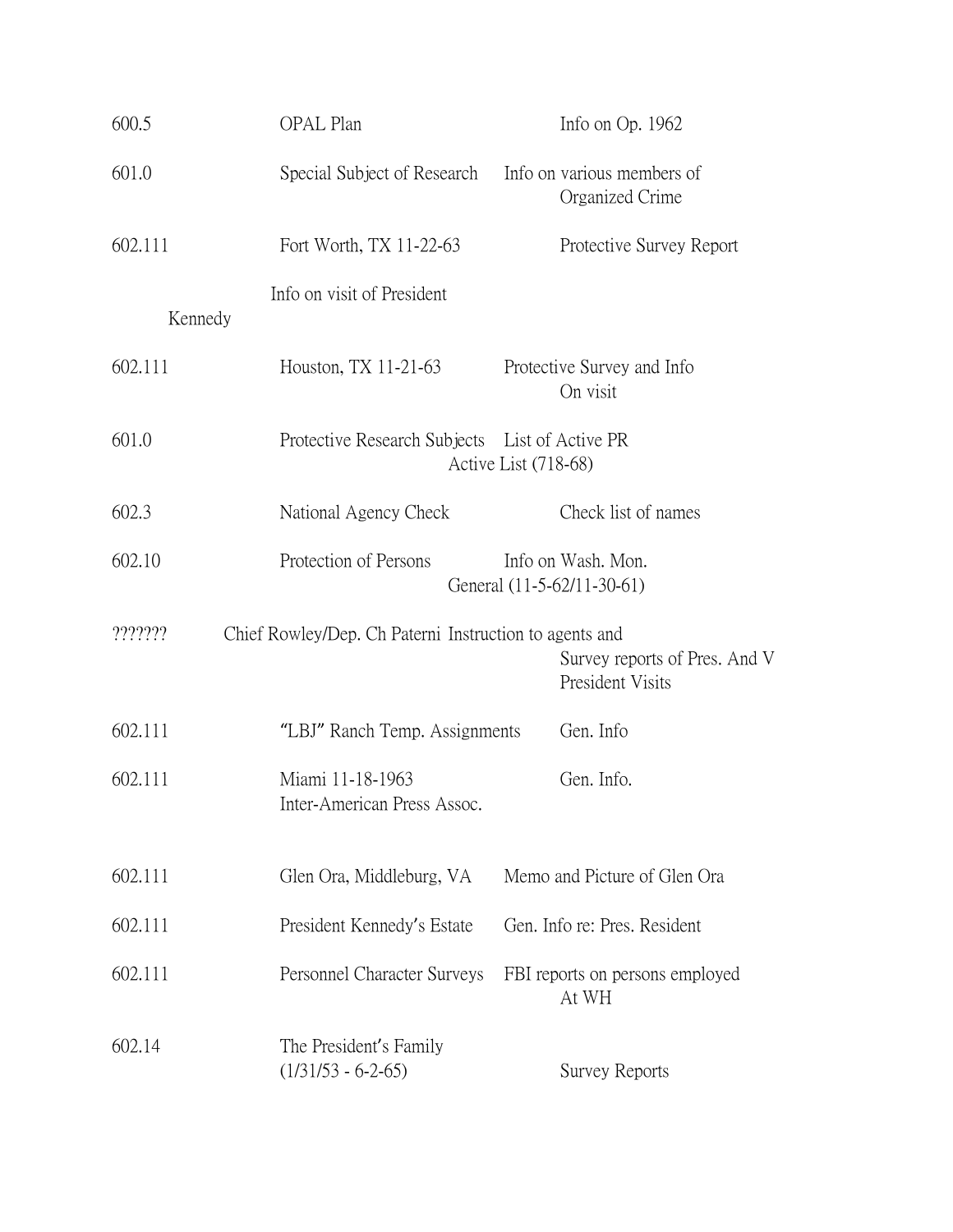| 600.5   | OPAL Plan                                              |                                                  | Info on $Op. 1962$                                |
|---------|--------------------------------------------------------|--------------------------------------------------|---------------------------------------------------|
| 601.0   | Special Subject of Research                            |                                                  | Info on various members of<br>Organized Crime     |
| 602.111 | Fort Worth, TX 11-22-63                                |                                                  | Protective Survey Report                          |
| Kennedy | Info on visit of President                             |                                                  |                                                   |
| 602.111 | Houston, TX 11-21-63                                   | Protective Survey and Info<br>On visit           |                                                   |
| 601.0   | Protective Research Subjects List of Active PR         | Active List (718-68)                             |                                                   |
| 602.3   | National Agency Check                                  |                                                  | Check list of names                               |
| 602.10  | Protection of Persons                                  | Info on Wash. Mon.<br>General (11-5-62/11-30-61) |                                                   |
| ??????? | Chief Rowley/Dep. Ch Paterni Instruction to agents and |                                                  | Survey reports of Pres. And V<br>President Visits |
| 602.111 | "LBJ" Ranch Temp. Assignments                          |                                                  | Gen. Info                                         |
| 602.111 | Miami 11-18-1963<br>Inter-American Press Assoc.        |                                                  | Gen. Info.                                        |
| 602.111 | Glen Ora, Middleburg, VA                               |                                                  | Memo and Picture of Glen Ora                      |
| 602.111 | President Kennedy's Estate                             | Gen. Info re: Pres. Resident                     |                                                   |
| 602.111 | Personnel Character Surveys                            |                                                  | FBI reports on persons employed<br>At WH          |
| 602.14  | The President's Family<br>$(1/31/53 - 6-2-65)$         |                                                  | Survey Reports                                    |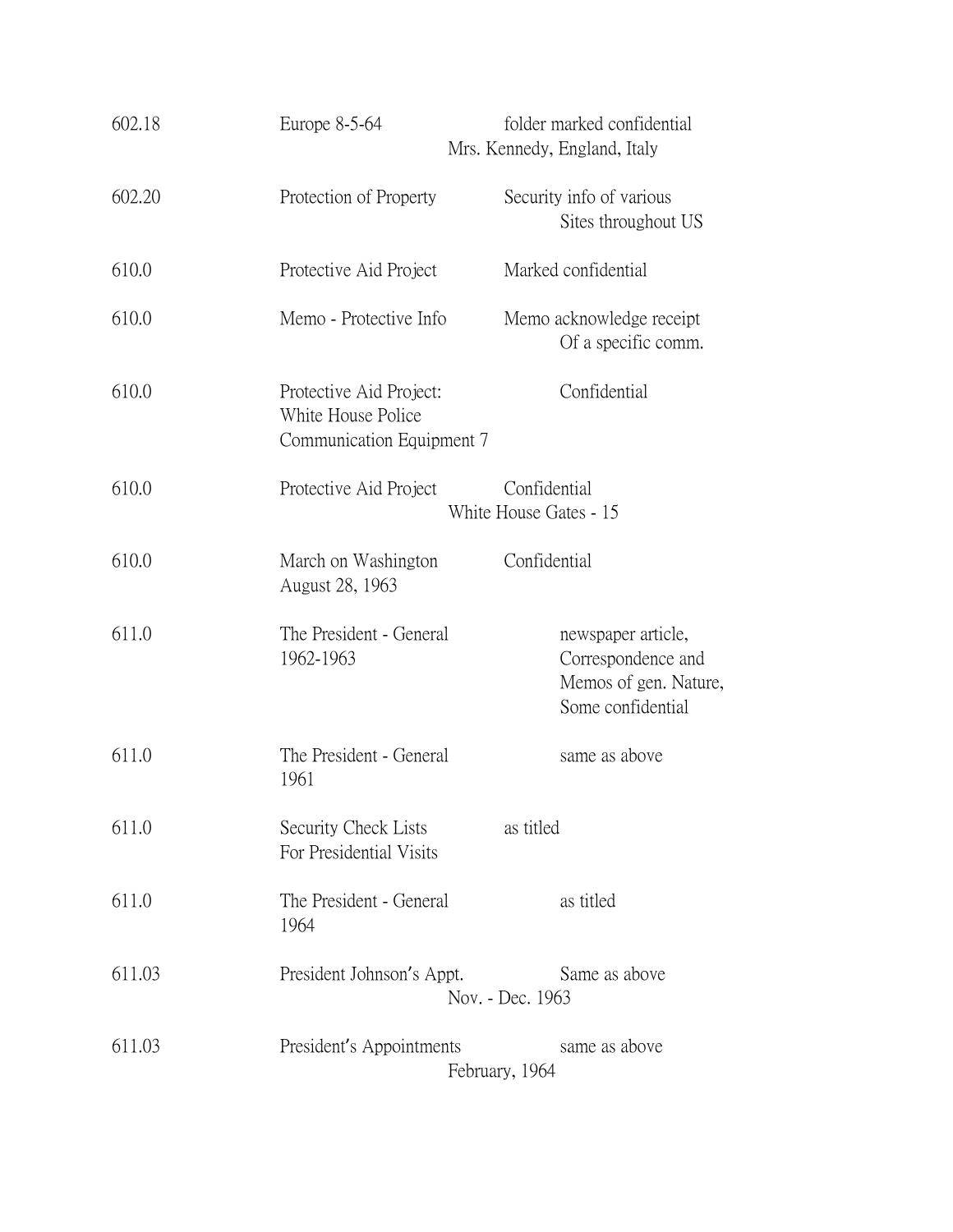| 602.18 | Europe 8-5-64                                                              | folder marked confidential<br>Mrs. Kennedy, England, Italy                             |
|--------|----------------------------------------------------------------------------|----------------------------------------------------------------------------------------|
| 602.20 | Protection of Property                                                     | Security info of various<br>Sites throughout US                                        |
| 610.0  | Protective Aid Project                                                     | Marked confidential                                                                    |
| 610.0  | Memo - Protective Info                                                     | Memo acknowledge receipt<br>Of a specific comm.                                        |
| 610.0  | Protective Aid Project:<br>White House Police<br>Communication Equipment 7 | Confidential                                                                           |
| 610.0  | Protective Aid Project                                                     | Confidential<br>White House Gates - 15                                                 |
| 610.0  | March on Washington<br>August 28, 1963                                     | Confidential                                                                           |
| 611.0  | The President - General<br>1962-1963                                       | newspaper article,<br>Correspondence and<br>Memos of gen. Nature,<br>Some confidential |
| 611.0  | The President - General<br>1961                                            | same as above                                                                          |
| 611.0  | Security Check Lists<br>For Presidential Visits                            | as titled                                                                              |
| 611.0  | The President - General<br>1964                                            | as titled                                                                              |
| 611.03 | President Johnson's Appt.                                                  | Same as above<br>Nov. - Dec. 1963                                                      |
| 611.03 | President's Appointments                                                   | same as above<br>February, 1964                                                        |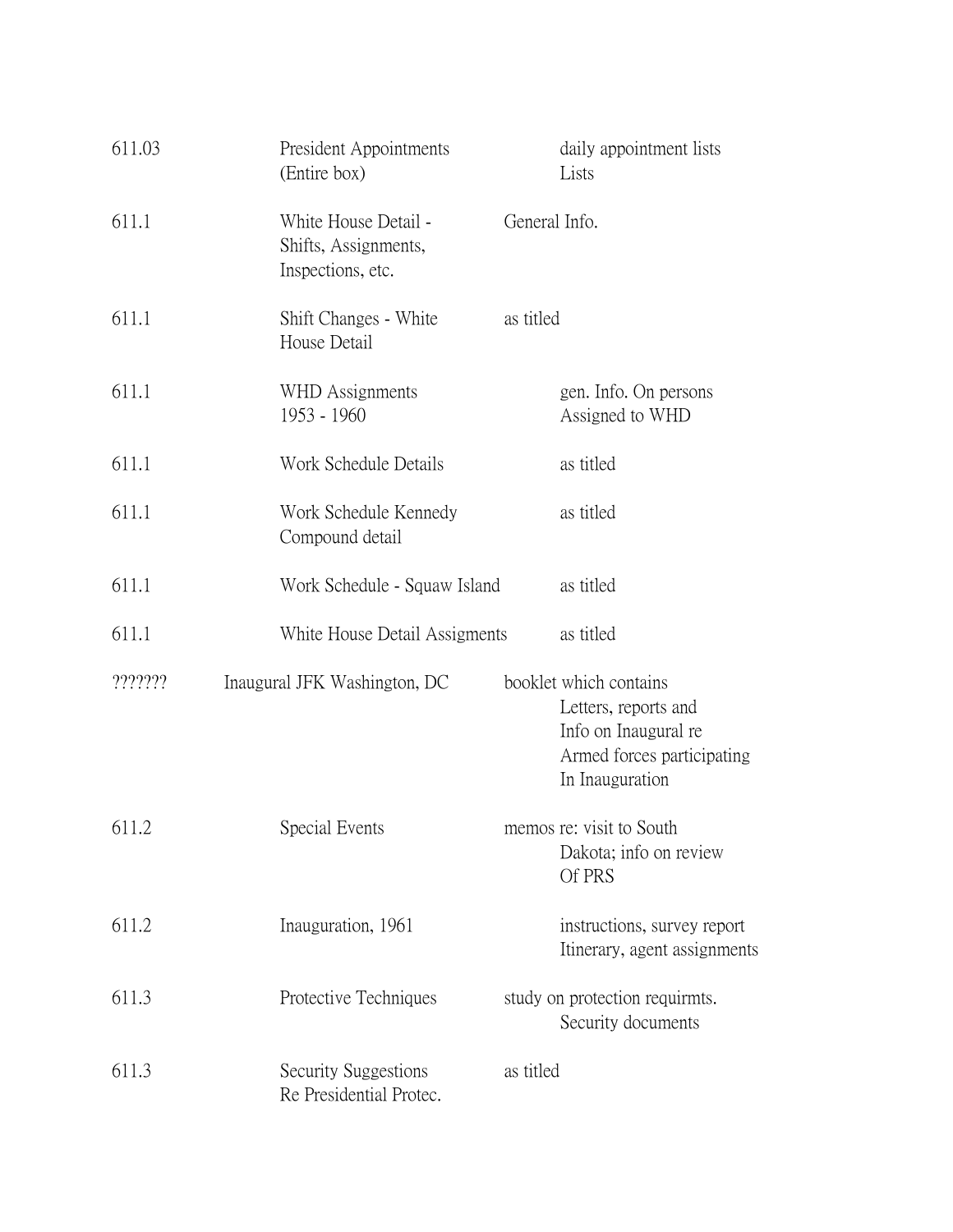| 611.03  | President Appointments<br>(Entire box)                            |               | daily appointment lists<br>Lists                                                                                        |
|---------|-------------------------------------------------------------------|---------------|-------------------------------------------------------------------------------------------------------------------------|
| 611.1   | White House Detail -<br>Shifts, Assignments,<br>Inspections, etc. | General Info. |                                                                                                                         |
| 611.1   | Shift Changes - White<br>House Detail                             | as titled     |                                                                                                                         |
| 611.1   | WHD Assignments<br>1953 - 1960                                    |               | gen. Info. On persons<br>Assigned to WHD                                                                                |
| 611.1   | Work Schedule Details                                             |               | as titled                                                                                                               |
| 611.1   | Work Schedule Kennedy<br>Compound detail                          |               | as titled                                                                                                               |
| 611.1   | Work Schedule - Squaw Island                                      |               | as titled                                                                                                               |
| 611.1   | White House Detail Assigments                                     |               | as titled                                                                                                               |
| ??????? | Inaugural JFK Washington, DC                                      |               | booklet which contains<br>Letters, reports and<br>Info on Inaugural re<br>Armed forces participating<br>In Inauguration |
| 611.2   | Special Events                                                    |               | memos re: visit to South<br>Dakota; info on review<br>Of PRS                                                            |
| 611.2   | Inauguration, 1961                                                |               | instructions, survey report<br>Itinerary, agent assignments                                                             |
| 611.3   | Protective Techniques                                             |               | study on protection requirmts.<br>Security documents                                                                    |
| 611.3   | Security Suggestions<br>Re Presidential Protec.                   | as titled     |                                                                                                                         |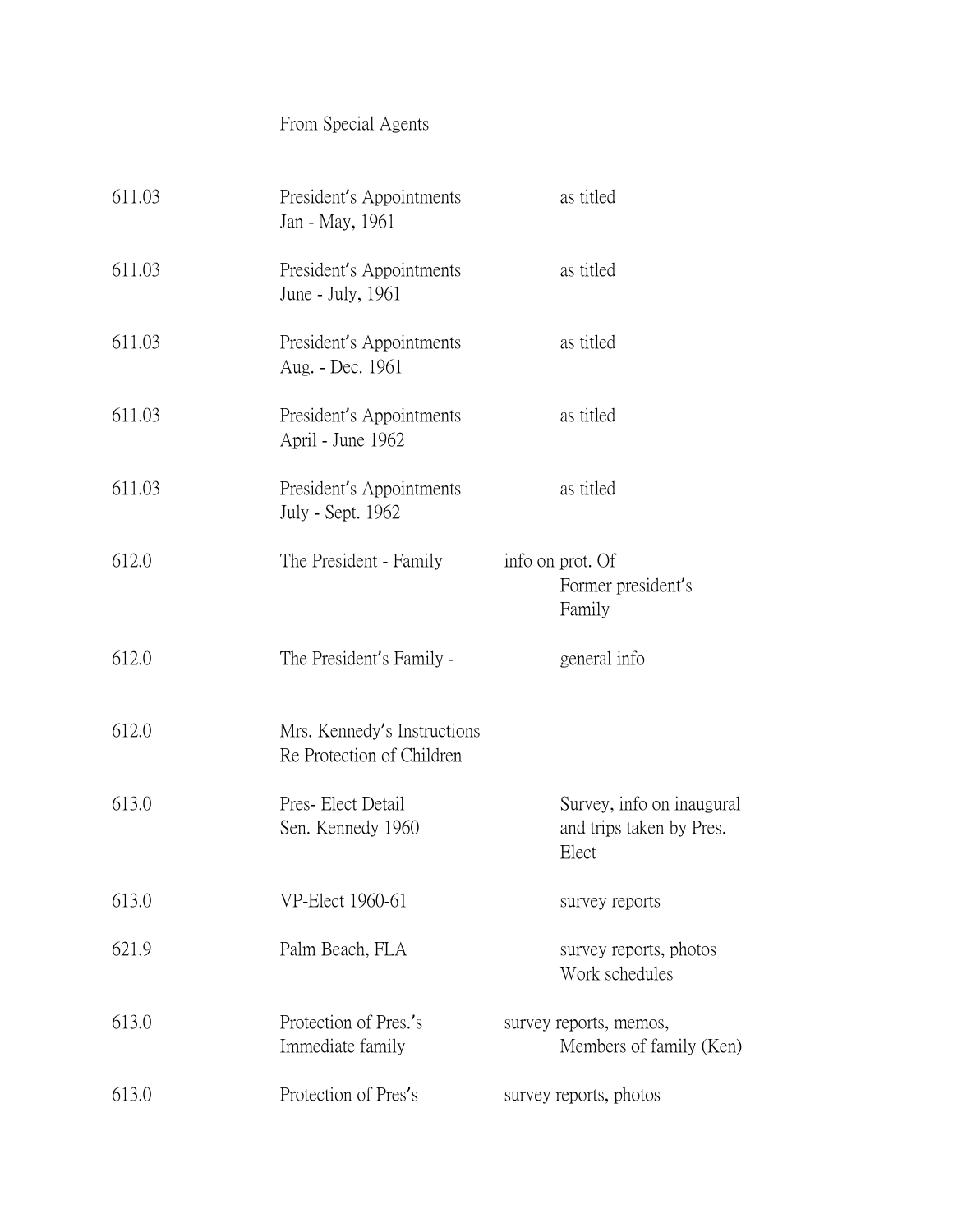## From Special Agents

| 611.03 | President's Appointments<br>Jan - May, 1961              | as titled                                                      |
|--------|----------------------------------------------------------|----------------------------------------------------------------|
| 611.03 | President's Appointments<br>June - July, 1961            | as titled                                                      |
| 611.03 | President's Appointments<br>Aug. - Dec. 1961             | as titled                                                      |
| 611.03 | President's Appointments<br>April - June 1962            | as titled                                                      |
| 611.03 | President's Appointments<br>July - Sept. 1962            | as titled                                                      |
| 612.0  | The President - Family                                   | info on prot. Of<br>Former president's<br>Family               |
| 612.0  | The President's Family -                                 | general info                                                   |
| 612.0  | Mrs. Kennedy's Instructions<br>Re Protection of Children |                                                                |
| 613.0  | Pres-Elect Detail<br>Sen. Kennedy 1960                   | Survey, info on inaugural<br>and trips taken by Pres.<br>Elect |
| 613.0  | VP-Elect 1960-61                                         | survey reports                                                 |
| 621.9  | Palm Beach, FLA                                          | survey reports, photos<br>Work schedules                       |
| 613.0  | Protection of Pres.'s<br>Immediate family                | survey reports, memos,<br>Members of family (Ken)              |
| 613.0  | Protection of Pres's                                     | survey reports, photos                                         |